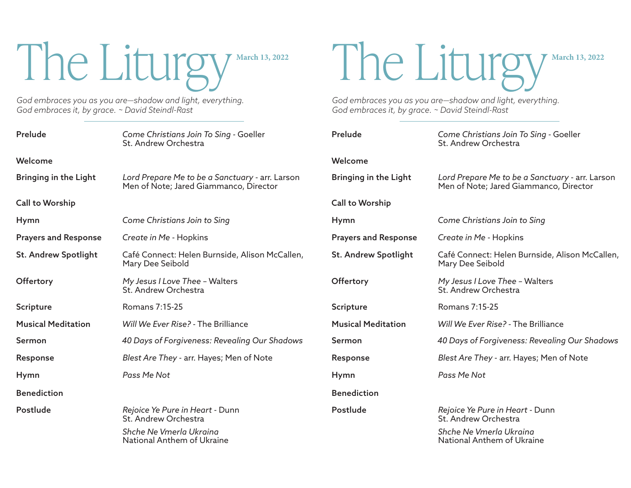# The Liturgy March 13, 2022

*God embraces you as you are—shadow and light, everything. God embraces it, by grace. ~ David Steindl-Rast* 

| Prelude                      | Come Christians Join To Sing - Goeller<br>St. Andrew Orchestra                            | Prelude                      | Come Cl<br>St. Andr   |
|------------------------------|-------------------------------------------------------------------------------------------|------------------------------|-----------------------|
| Welcome                      |                                                                                           | Welcome                      |                       |
| <b>Bringing in the Light</b> | Lord Prepare Me to be a Sanctuary - arr. Larson<br>Men of Note; Jared Giammanco, Director | <b>Bringing in the Light</b> | Lord Pre<br>Men of M  |
| Call to Worship              |                                                                                           | <b>Call to Worship</b>       |                       |
| Hymn                         | Come Christians Join to Sing                                                              | Hymn                         | Come Cl               |
| <b>Prayers and Response</b>  | Create in Me - Hopkins                                                                    | <b>Prayers and Response</b>  | Create in             |
| <b>St. Andrew Spotlight</b>  | Café Connect: Helen Burnside, Alison McCallen,<br>Mary Dee Seibold                        | <b>St. Andrew Spotlight</b>  | Café Cor<br>Mary De   |
| Offertory                    | My Jesus I Love Thee - Walters<br>St. Andrew Orchestra                                    | Offertory                    | My Jesus<br>St. Andr  |
| <b>Scripture</b>             | Romans 7:15-25                                                                            | <b>Scripture</b>             | Romans                |
| <b>Musical Meditation</b>    | Will We Ever Rise? - The Brilliance                                                       | <b>Musical Meditation</b>    | Will We               |
| Sermon                       | 40 Days of Forgiveness: Revealing Our Shadows                                             | Sermon                       | 40 Days               |
| Response                     | Blest Are They - arr. Hayes; Men of Note                                                  | Response                     | <b>Blest Are</b>      |
| Hymn                         | Pass Me Not                                                                               | Hymn                         | Pass Me               |
| <b>Benediction</b>           |                                                                                           | <b>Benediction</b>           |                       |
| Postlude                     | Rejoice Ye Pure in Heart - Dunn<br>St. Andrew Orchestra                                   | Postlude                     | Rejoice \<br>St. Andr |
|                              | Shche Ne Vmerla Ukraina<br>National Anthem of Ukraine                                     |                              | Shche N<br>Nationa    |

The Liturgy March 13, 2022

*God embraces you as you are—shadow and light, everything. God embraces it, by grace. ~ David Steindl-Rast* 

| Prelude                      | Come Christians Join To Sing - Goeller<br>St. Andrew Orchestra                            |  |
|------------------------------|-------------------------------------------------------------------------------------------|--|
| Welcome                      |                                                                                           |  |
| <b>Bringing in the Light</b> | Lord Prepare Me to be a Sanctuary - arr. Larson<br>Men of Note; Jared Giammanco, Director |  |
| Call to Worship              |                                                                                           |  |
| Hymn                         | Come Christians Join to Sing                                                              |  |
| <b>Prayers and Response</b>  | Create in Me - Hopkins                                                                    |  |
| <b>St. Andrew Spotlight</b>  | Café Connect: Helen Burnside, Alison McCallen,<br>Mary Dee Seibold                        |  |
| Offertory                    | My Jesus I Love Thee - Walters<br>St. Andrew Orchestra                                    |  |
| Scripture                    | Romans 7:15-25                                                                            |  |
| <b>Musical Meditation</b>    | Will We Ever Rise? - The Brilliance                                                       |  |
| Sermon                       | 40 Days of Forgiveness: Revealing Our Shadows                                             |  |
| Response                     | Blest Are They - arr. Hayes; Men of Note                                                  |  |
| Hymn                         | Pass Me Not                                                                               |  |
| <b>Benediction</b>           |                                                                                           |  |
| Postlude                     | Rejoice Ye Pure in Heart - Dunn<br>St. Andrew Orchestra                                   |  |
|                              | Shche Ne Vmerla Ukraina<br>National Anthem of Ukraine                                     |  |